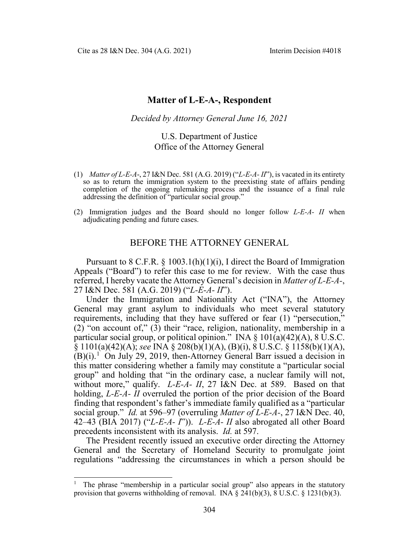Cite as 28 I&N Dec. 304 (A.G. 2021) Interim Decision #4018

## **Matter of L-E-A-, Respondent**

*Decided by Attorney General June 16, 2021*

## U.S. Department of Justice Office of the Attorney General

- (1) *Matter of L-E-A*-, 27 I&N Dec. 581 (A.G. 2019) ("*L-E-A- II*"), is vacated in its entirety so as to return the immigration system to the preexisting state of affairs pending completion of the ongoing rulemaking process and the issuance of a final rule addressing the definition of "particular social group."
- (2) Immigration judges and the Board should no longer follow *L-E-A- II* when adjudicating pending and future cases.

## BEFORE THE ATTORNEY GENERAL

Pursuant to  $8 \text{ C.F.R. } § 1003.1(h)(1)(i)$ , I direct the Board of Immigration Appeals ("Board") to refer this case to me for review. With the case thus referred, I hereby vacate the Attorney General's decision in *Matter of L-E-A-*, 27 I&N Dec. 581 (A.G. 2019) ("*L-E-A- II*").

Under the Immigration and Nationality Act ("INA"), the Attorney General may grant asylum to individuals who meet several statutory requirements, including that they have suffered or fear (1) "persecution," (2) "on account of," (3) their "race, religion, nationality, membership in a particular social group, or political opinion." INA  $\S$  101(a)(42)(A), 8 U.S.C. § 1101(a)(42)(A); *see* INA § 208(b)(1)(A), (B)(i), 8 U.S.C. § 1158(b)(1)(A),  $(B)(i)$ .<sup>[1](#page-0-0)</sup> On July 29, 2019, then-Attorney General Barr issued a decision in this matter considering whether a family may constitute a "particular social group" and holding that "in the ordinary case, a nuclear family will not, without more," qualify. *L-E-A- II*, 27 I&N Dec. at 589. Based on that holding, *L-E-A- II* overruled the portion of the prior decision of the Board finding that respondent's father's immediate family qualified as a "particular social group." *Id.* at 596–97 (overruling *Matter of L-E-A-*, 27 I&N Dec. 40, 42–43 (BIA 2017) ("*L-E-A- I*")). *L-E-A- II* also abrogated all other Board precedents inconsistent with its analysis. *Id.* at 597.

The President recently issued an executive order directing the Attorney General and the Secretary of Homeland Security to promulgate joint regulations "addressing the circumstances in which a person should be

<span id="page-0-0"></span><sup>&</sup>lt;sup>1</sup> The phrase "membership in a particular social group" also appears in the statutory provision that governs withholding of removal. INA  $\S$  241(b)(3),  $\S$  U.S.C.  $\S$  1231(b)(3).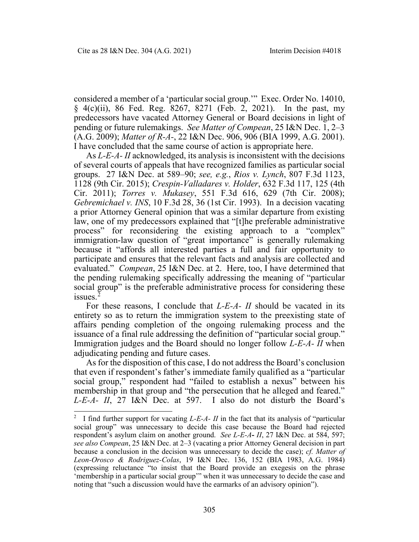considered a member of a 'particular social group.'" Exec. Order No. 14010, § 4(c)(ii), 86 Fed. Reg. 8267, 8271 (Feb. 2, 2021). In the past, my predecessors have vacated Attorney General or Board decisions in light of pending or future rulemakings. *See Matter of Compean*, 25 I&N Dec. 1, 2–3 (A.G. 2009); *Matter of R-A-*, 22 I&N Dec. 906, 906 (BIA 1999, A.G. 2001). I have concluded that the same course of action is appropriate here.

As *L-E-A- II* acknowledged, its analysis is inconsistent with the decisions of several courts of appeals that have recognized families as particular social groups. 27 I&N Dec. at 589–90; *see, e.g.*, *Rios v. Lynch*, 807 F.3d 1123, 1128 (9th Cir. 2015); *Crespin-Valladares v. Holder*, 632 F.3d 117, 125 (4th Cir. 2011); *Torres v. Mukasey*, 551 F.3d 616, 629 (7th Cir. 2008); *Gebremichael v. INS*, 10 F.3d 28, 36 (1st Cir. 1993). In a decision vacating a prior Attorney General opinion that was a similar departure from existing law, one of my predecessors explained that "[t]he preferable administrative process" for reconsidering the existing approach to a "complex" immigration-law question of "great importance" is generally rulemaking because it "affords all interested parties a full and fair opportunity to participate and ensures that the relevant facts and analysis are collected and evaluated." *Compean*, 25 I&N Dec. at 2. Here, too, I have determined that the pending rulemaking specifically addressing the meaning of "particular social group" is the preferable administrative process for considering these issues.<sup>[2](#page-1-0)</sup>

For these reasons, I conclude that *L-E-A- II* should be vacated in its entirety so as to return the immigration system to the preexisting state of affairs pending completion of the ongoing rulemaking process and the issuance of a final rule addressing the definition of "particular social group." Immigration judges and the Board should no longer follow *L-E-A- II* when adjudicating pending and future cases.

As for the disposition of this case, I do not address the Board's conclusion that even if respondent's father's immediate family qualified as a "particular social group," respondent had "failed to establish a nexus" between his membership in that group and "the persecution that he alleged and feared." *L-E-A- II*, 27 I&N Dec. at 597. I also do not disturb the Board's

<span id="page-1-0"></span><sup>&</sup>lt;sup>2</sup> I find further support for vacating *L-E-A- II* in the fact that its analysis of "particular social group" was unnecessary to decide this case because the Board had rejected respondent's asylum claim on another ground. *See L-E-A***-** *II*, 27 I&N Dec. at 584, 597; *see also Compean*, 25 I&N Dec. at 2–3 (vacating a prior Attorney General decision in part because a conclusion in the decision was unnecessary to decide the case); *cf. Matter of Leon-Orosco & Rodriguez-Colas*, 19 I&N Dec. 136, 152 (BIA 1983, A.G. 1984) (expressing reluctance "to insist that the Board provide an exegesis on the phrase 'membership in a particular social group'" when it was unnecessary to decide the case and noting that "such a discussion would have the earmarks of an advisory opinion").